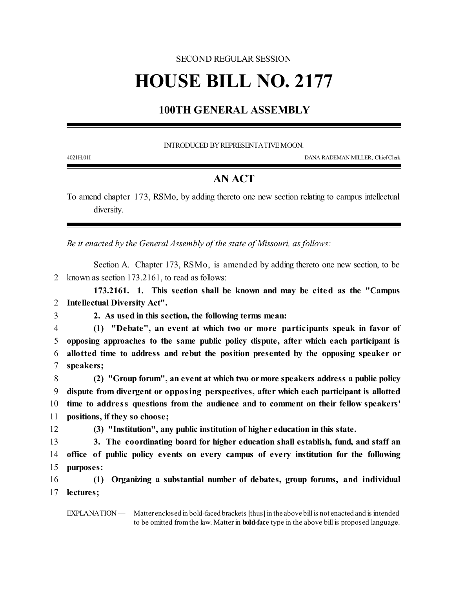## SECOND REGULAR SESSION

## **HOUSE BILL NO. 2177**

## **100TH GENERAL ASSEMBLY**

INTRODUCED BY REPRESENTATIVE MOON.

4021H.01I DANA RADEMAN MILLER, ChiefClerk

## **AN ACT**

To amend chapter 173, RSMo, by adding thereto one new section relating to campus intellectual diversity.

*Be it enacted by the General Assembly of the state of Missouri, as follows:*

Section A. Chapter 173, RSMo, is amended by adding thereto one new section, to be 2 known as section 173.2161, to read as follows:

**173.2161. 1. This section shall be known and may be cited as the "Campus** 2 **Intellectual Diversity Act".**

- 
- 3 **2. As used in this section, the following terms mean:**

 **(1) "Debate", an event at which two or more participants speak in favor of opposing approaches to the same public policy dispute, after which each participant is allotted time to address and rebut the position presented by the opposing speaker or speakers;**

 **(2) "Group forum", an event at which two ormore speakers address a public policy dispute from divergent or opposing perspectives, after which each participant is allotted time to addre ss questions from the audience and to comment on their fellow speakers' positions, if they so choose;**

12 **(3) "Institution", any public institution of higher education in this state.**

13 **3. The coordinating board for higher education shall establish, fund, and staff an** 14 **office of public policy events on every campus of every institution for the following** 15 **purposes:**

16 **(1) Organizing a substantial number of debates, group forums, and individual** 17 **lectures;**

EXPLANATION — Matter enclosed in bold-faced brackets [thus] in the above bill is not enacted and is intended to be omitted fromthe law. Matter in **bold-face** type in the above bill is proposed language.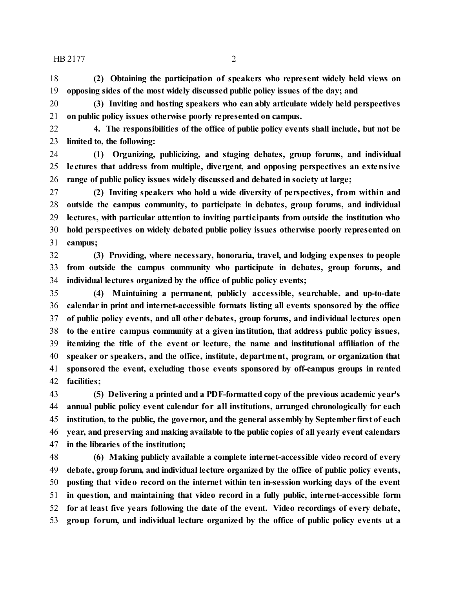HB 2177 2

 **(2) Obtaining the participation of speakers who represent widely held views on opposing sides of the most widely discussed public policy issues of the day; and**

 **(3) Inviting and hosting speakers who can ably articulate widely held perspectives on public policy issues otherwise poorly represented on campus.**

 **4. The responsibilities of the office of public policy events shall include, but not be limited to, the following:**

 **(1) Organizing, publicizing, and staging debates, group forums, and individual le ctures that address from multiple, divergent, and opposing perspectives an extensive range of public policy issues widely discussed and debated in society at large;**

 **(2) Inviting speakers who hold a wide diversity of perspectives, from within and outside the campus community, to participate in debates, group forums, and individual lectures, with particular attention to inviting participants from outside the institution who hold perspectives on widely debated public policy issues otherwise poorly represented on campus;**

 **(3) Providing, where necessary, honoraria, travel, and lodging expenses to people from outside the campus community who participate in debates, group forums, and individual lectures organized by the office of public policy events;**

 **(4) Maintaining a permanent, publicly accessible, searchable, and up-to-date calendar in print and internet-accessible formats listing all events sponsored by the office of public policy events, and all other debates, group forums, and individual lectures open to the entire campus community at a given institution, that address public policy issues, itemizing the title of the event or lecture, the name and institutional affiliation of the speaker or speakers, and the office, institute, department, program, or organization that sponsored the event, excluding those events sponsored by off-campus groups in rented facilities;**

 **(5) Delivering a printed and a PDF-formatted copy of the previous academic year's annual public policy event calendar for all institutions, arranged chronologically for each institution, to the public, the governor, and the general assembly by September first of each year, and preserving and making available to the public copies of all yearly event calendars in the libraries of the institution;**

 **(6) Making publicly available a complete internet-accessible video record of every debate, group forum, and individual lecture organized by the office of public policy events, posting that video record on the internet within ten in-session working days of the event in question, and maintaining that video record in a fully public, internet-accessible form for at least five years following the date of the event. Video recordings of every debate, group forum, and individual lecture organized by the office of public policy events at a**